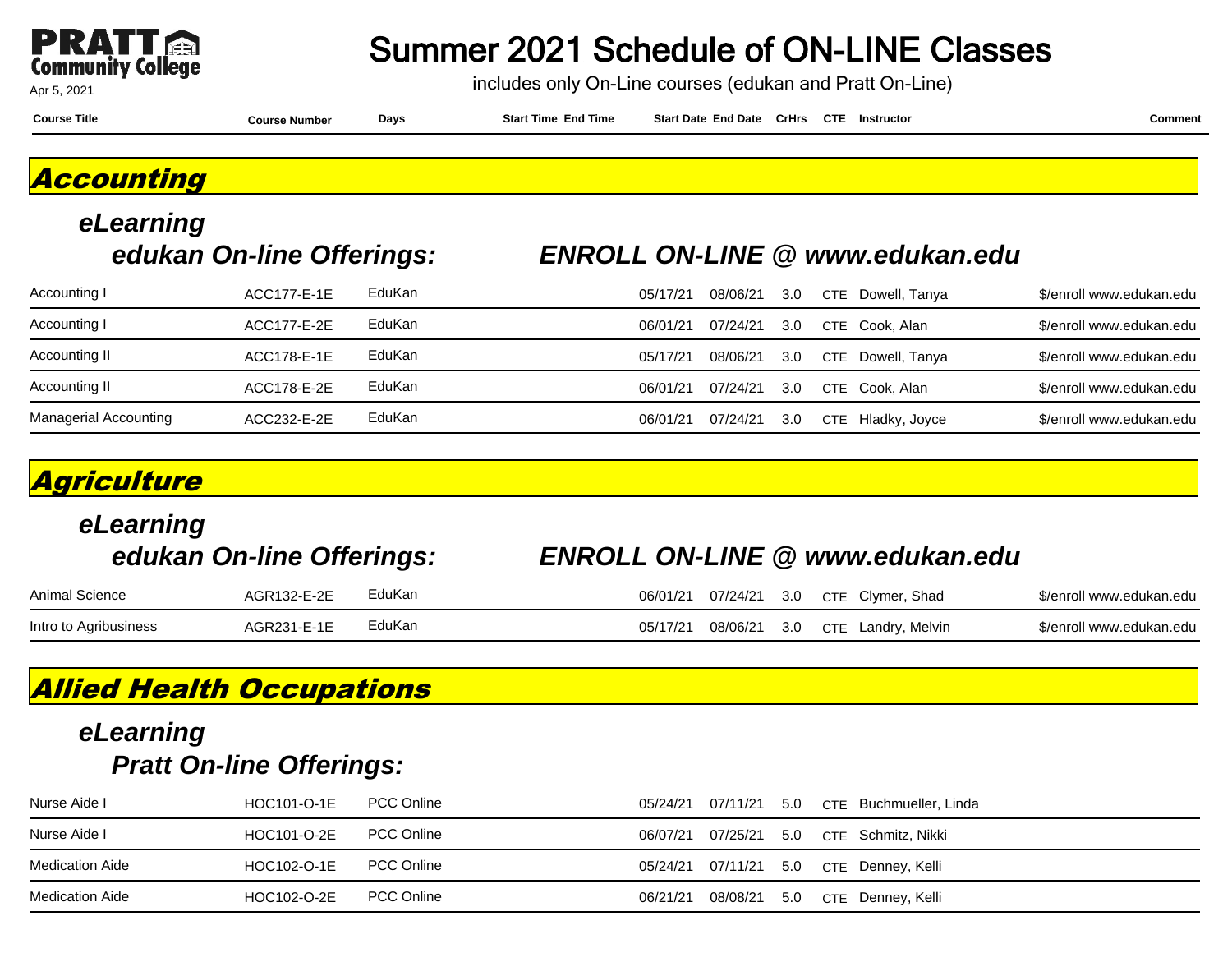

includes only On-Line courses (edukan and Pratt On-Line)

**Course Title Course Number Days Start Time End Time Start Date End Date CrHrs Instructor Comment CTE**

**Accounting**

## **eLearning**

#### **edukan On-line Offerings: ENROLL ON-LINE @ www.edukan.edu**

| Accounting I                 | ACC177-E-1E | EduKan | 05/17/21 | 08/06/21 | 3.0 | CTE Dowell, Tanya | \$/enroll www.edukan.edu |
|------------------------------|-------------|--------|----------|----------|-----|-------------------|--------------------------|
| Accounting I                 | ACC177-E-2E | EduKan | 06/01/21 | 07/24/21 | 3.0 | CTE Cook, Alan    | \$/enroll www.edukan.edu |
| Accounting II                | ACC178-E-1E | EduKan | 05/17/21 | 08/06/21 | 3.0 | CTE Dowell, Tanya | \$/enroll www.edukan.edu |
| Accounting II                | ACC178-E-2E | EduKan | 06/01/21 | 07/24/21 | 3.0 | CTE Cook, Alan    | \$/enroll www.edukan.edu |
| <b>Managerial Accounting</b> | ACC232-E-2E | EduKan | 06/01/21 | 07/24/21 | 3.0 | CTE Hladky, Joyce | \$/enroll www.edukan.edu |

### **Agriculture**

| eLearning             | edukan On-line Offerings: |        |          |                   |     | <b>ENROLL ON-LINE @ www.edukan.edu</b> |                          |
|-----------------------|---------------------------|--------|----------|-------------------|-----|----------------------------------------|--------------------------|
| Animal Science        | AGR132-E-2E               | EduKan |          | 06/01/21 07/24/21 |     | 3.0 CTE Clymer, Shad                   | \$/enroll www.edukan.edu |
| Intro to Agribusiness | AGR231-E-1E               | EduKan | 05/17/21 | 08/06/21          | 3.0 | CTE Landry, Melvin                     | \$/enroll www.edukan.edu |

### **Allied Health Occupations**

| Nurse Aide I           | HOC101-O-1E | PCC Online        |  |  | 05/24/21 07/11/21 5.0 CTE Buchmueller, Linda |
|------------------------|-------------|-------------------|--|--|----------------------------------------------|
| Nurse Aide I           | HOC101-O-2E | <b>PCC Online</b> |  |  | 06/07/21 07/25/21 5.0 CTE Schmitz, Nikki     |
| <b>Medication Aide</b> | HOC102-O-1E | PCC Online        |  |  | 05/24/21 07/11/21 5.0 CTE Denney, Kelli      |
| <b>Medication Aide</b> | HOC102-O-2E | PCC Online        |  |  | 06/21/21 08/08/21 5.0 CTE Denney, Kelli      |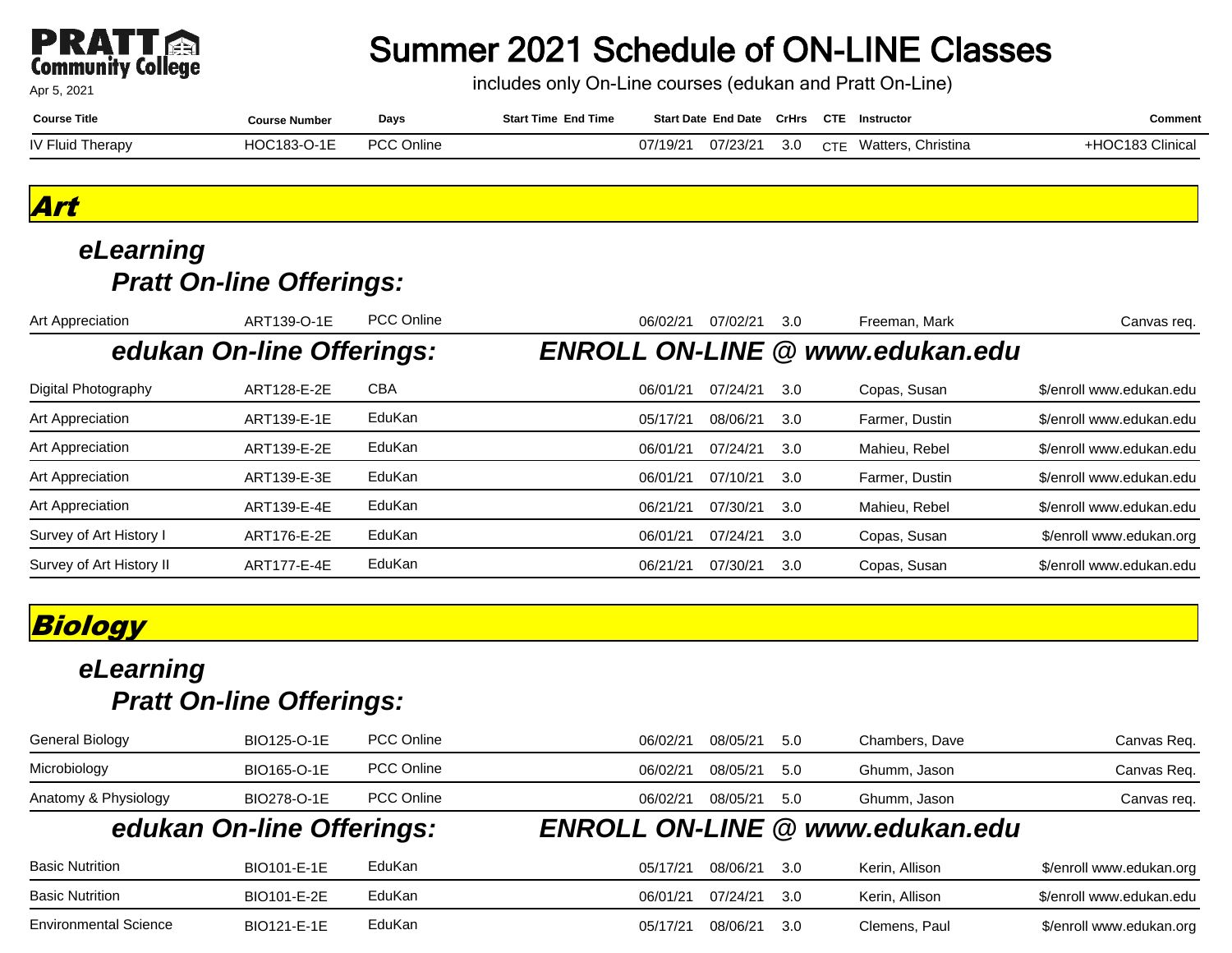

includes only On-Line courses (edukan and Pratt On-Line)

| <b>Course Title</b> | Course Number | Days              | <b>Start Time End Time</b> |          | Start Date End Date CrHrs CTE |     |            | Instructor         | Comment         |
|---------------------|---------------|-------------------|----------------------------|----------|-------------------------------|-----|------------|--------------------|-----------------|
| IV Fluid Therapy    | HOC183-O-1E   | <b>PCC Online</b> |                            | 07/19/21 | 07/23/21                      | 3.0 | <b>CTE</b> | Watters, Christina | HOC183 Clinical |

**Art**

### **eLearning Pratt On-line Offerings:**

| Art Appreciation         | ART139-O-1E               | <b>PCC Online</b> | 06/02/21 | 07/02/21 | 3.0 | Freeman, Mark                          | Canvas reg.              |
|--------------------------|---------------------------|-------------------|----------|----------|-----|----------------------------------------|--------------------------|
|                          | edukan On-line Offerings: |                   |          |          |     | <b>ENROLL ON-LINE @ www.edukan.edu</b> |                          |
| Digital Photography      | ART128-E-2E               | CBA               | 06/01/21 | 07/24/21 | 3.0 | Copas, Susan                           | \$/enroll www.edukan.edu |
| Art Appreciation         | ART139-E-1E               | EduKan            | 05/17/21 | 08/06/21 | 3.0 | Farmer, Dustin                         | \$/enroll www.edukan.edu |
| Art Appreciation         | ART139-E-2E               | EduKan            | 06/01/21 | 07/24/21 | 3.0 | Mahieu, Rebel                          | \$/enroll www.edukan.edu |
| Art Appreciation         | ART139-E-3E               | EduKan            | 06/01/21 | 07/10/21 | 3.0 | Farmer, Dustin                         | \$/enroll www.edukan.edu |
| Art Appreciation         | ART139-E-4E               | EduKan            | 06/21/21 | 07/30/21 | 3.0 | Mahieu, Rebel                          | \$/enroll www.edukan.edu |
| Survey of Art History I  | ART176-E-2E               | EduKan            | 06/01/21 | 07/24/21 | 3.0 | Copas, Susan                           | \$/enroll www.edukan.org |
| Survey of Art History II | ART177-E-4E               | EduKan            | 06/21/21 | 07/30/21 | 3.0 | Copas, Susan                           | \$/enroll www.edukan.edu |

### **Biology**

| General Biology              | BIO125-O-1E               | <b>PCC Online</b> | 06/02/21 | 08/05/21 | 5.0 | Chambers, Dave                         | Canvas Reg.              |
|------------------------------|---------------------------|-------------------|----------|----------|-----|----------------------------------------|--------------------------|
| Microbiology                 | BIO165-O-1E               | <b>PCC Online</b> | 06/02/21 | 08/05/21 | 5.0 | Ghumm, Jason                           | Canvas Req.              |
| Anatomy & Physiology         | BIO278-O-1E               | <b>PCC Online</b> | 06/02/21 | 08/05/21 | 5.0 | Ghumm, Jason                           | Canvas req.              |
|                              | edukan On-line Offerings: |                   |          |          |     | <b>ENROLL ON-LINE @ www.edukan.edu</b> |                          |
| <b>Basic Nutrition</b>       | BIO101-E-1E               | EduKan            | 05/17/21 | 08/06/21 | 3.0 | Kerin, Allison                         | \$/enroll www.edukan.org |
| <b>Basic Nutrition</b>       | BIO101-E-2E               | EduKan            | 06/01/21 | 07/24/21 | 3.0 | Kerin, Allison                         | \$/enroll www.edukan.edu |
| <b>Environmental Science</b> | BIO121-E-1E               | EduKan            | 05/17/21 | 08/06/21 | 3.0 | Clemens, Paul                          | \$/enroll www.edukan.org |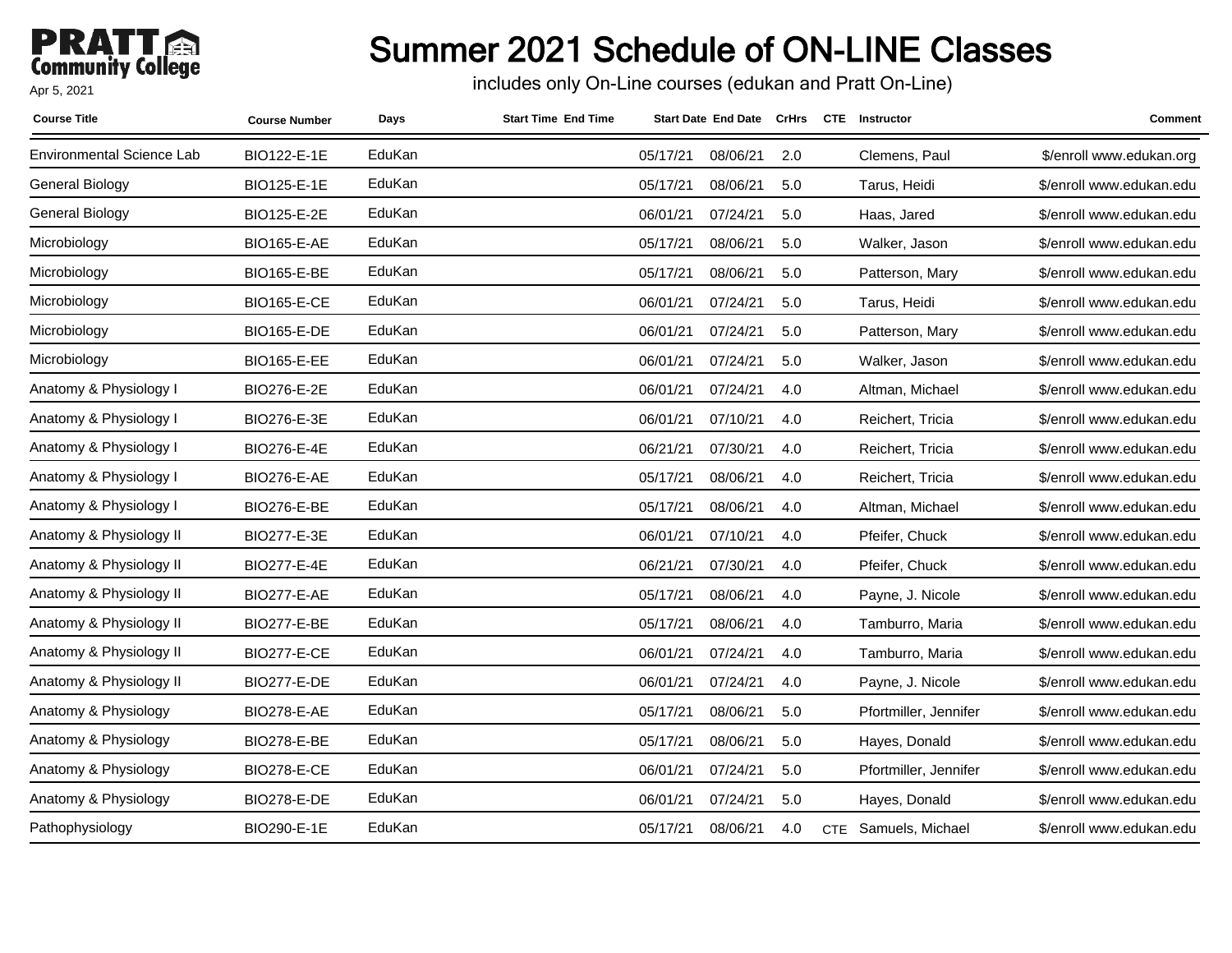### **PRATT** Apr 5, 2021

### Summer 2021 Schedule of ON-LINE Classes

includes only On-Line courses (edukan and Pratt On-Line)

| <b>Course Title</b>              | <b>Course Number</b> | Days   | <b>Start Time End Time</b> |          | Start Date End Date CrHrs CTE Instructor |     |            |                       | <b>Comment</b>           |
|----------------------------------|----------------------|--------|----------------------------|----------|------------------------------------------|-----|------------|-----------------------|--------------------------|
| <b>Environmental Science Lab</b> | BIO122-E-1E          | EduKan |                            | 05/17/21 | 08/06/21                                 | 2.0 |            | Clemens, Paul         | \$/enroll www.edukan.org |
| General Biology                  | BIO125-E-1E          | EduKan |                            | 05/17/21 | 08/06/21                                 | 5.0 |            | Tarus, Heidi          | \$/enroll www.edukan.edu |
| General Biology                  | BIO125-E-2E          | EduKan |                            | 06/01/21 | 07/24/21                                 | 5.0 |            | Haas, Jared           | \$/enroll www.edukan.edu |
| Microbiology                     | <b>BIO165-E-AE</b>   | EduKan |                            | 05/17/21 | 08/06/21                                 | 5.0 |            | Walker, Jason         | \$/enroll www.edukan.edu |
| Microbiology                     | <b>BIO165-E-BE</b>   | EduKan |                            | 05/17/21 | 08/06/21                                 | 5.0 |            | Patterson, Mary       | \$/enroll www.edukan.edu |
| Microbiology                     | <b>BIO165-E-CE</b>   | EduKan |                            | 06/01/21 | 07/24/21                                 | 5.0 |            | Tarus, Heidi          | \$/enroll www.edukan.edu |
| Microbiology                     | <b>BIO165-E-DE</b>   | EduKan |                            | 06/01/21 | 07/24/21                                 | 5.0 |            | Patterson, Mary       | \$/enroll www.edukan.edu |
| Microbiology                     | <b>BIO165-E-EE</b>   | EduKan |                            | 06/01/21 | 07/24/21                                 | 5.0 |            | Walker, Jason         | \$/enroll www.edukan.edu |
| Anatomy & Physiology I           | BIO276-E-2E          | EduKan |                            | 06/01/21 | 07/24/21                                 | 4.0 |            | Altman, Michael       | \$/enroll www.edukan.edu |
| Anatomy & Physiology I           | BIO276-E-3E          | EduKan |                            | 06/01/21 | 07/10/21                                 | 4.0 |            | Reichert, Tricia      | \$/enroll www.edukan.edu |
| Anatomy & Physiology I           | BIO276-E-4E          | EduKan |                            | 06/21/21 | 07/30/21                                 | 4.0 |            | Reichert, Tricia      | \$/enroll www.edukan.edu |
| Anatomy & Physiology I           | <b>BIO276-E-AE</b>   | EduKan |                            | 05/17/21 | 08/06/21                                 | 4.0 |            | Reichert, Tricia      | \$/enroll www.edukan.edu |
| Anatomy & Physiology I           | <b>BIO276-E-BE</b>   | EduKan |                            | 05/17/21 | 08/06/21                                 | 4.0 |            | Altman, Michael       | \$/enroll www.edukan.edu |
| Anatomy & Physiology II          | BIO277-E-3E          | EduKan |                            | 06/01/21 | 07/10/21                                 | 4.0 |            | Pfeifer, Chuck        | \$/enroll www.edukan.edu |
| Anatomy & Physiology II          | BIO277-E-4E          | EduKan |                            | 06/21/21 | 07/30/21                                 | 4.0 |            | Pfeifer, Chuck        | \$/enroll www.edukan.edu |
| Anatomy & Physiology II          | <b>BIO277-E-AE</b>   | EduKan |                            | 05/17/21 | 08/06/21                                 | 4.0 |            | Payne, J. Nicole      | \$/enroll www.edukan.edu |
| Anatomy & Physiology II          | <b>BIO277-E-BE</b>   | EduKan |                            | 05/17/21 | 08/06/21                                 | 4.0 |            | Tamburro, Maria       | \$/enroll www.edukan.edu |
| Anatomy & Physiology II          | <b>BIO277-E-CE</b>   | EduKan |                            | 06/01/21 | 07/24/21                                 | 4.0 |            | Tamburro, Maria       | \$/enroll www.edukan.edu |
| Anatomy & Physiology II          | <b>BIO277-E-DE</b>   | EduKan |                            | 06/01/21 | 07/24/21                                 | 4.0 |            | Payne, J. Nicole      | \$/enroll www.edukan.edu |
| Anatomy & Physiology             | <b>BIO278-E-AE</b>   | EduKan |                            | 05/17/21 | 08/06/21                                 | 5.0 |            | Pfortmiller, Jennifer | \$/enroll www.edukan.edu |
| Anatomy & Physiology             | <b>BIO278-E-BE</b>   | EduKan |                            | 05/17/21 | 08/06/21                                 | 5.0 |            | Hayes, Donald         | \$/enroll www.edukan.edu |
| Anatomy & Physiology             | <b>BIO278-E-CE</b>   | EduKan |                            | 06/01/21 | 07/24/21                                 | 5.0 |            | Pfortmiller, Jennifer | \$/enroll www.edukan.edu |
| Anatomy & Physiology             | <b>BIO278-E-DE</b>   | EduKan |                            | 06/01/21 | 07/24/21                                 | 5.0 |            | Hayes, Donald         | \$/enroll www.edukan.edu |
| Pathophysiology                  | BIO290-E-1E          | EduKan |                            | 05/17/21 | 08/06/21                                 | 4.0 | <b>CTE</b> | Samuels, Michael      | \$/enroll www.edukan.edu |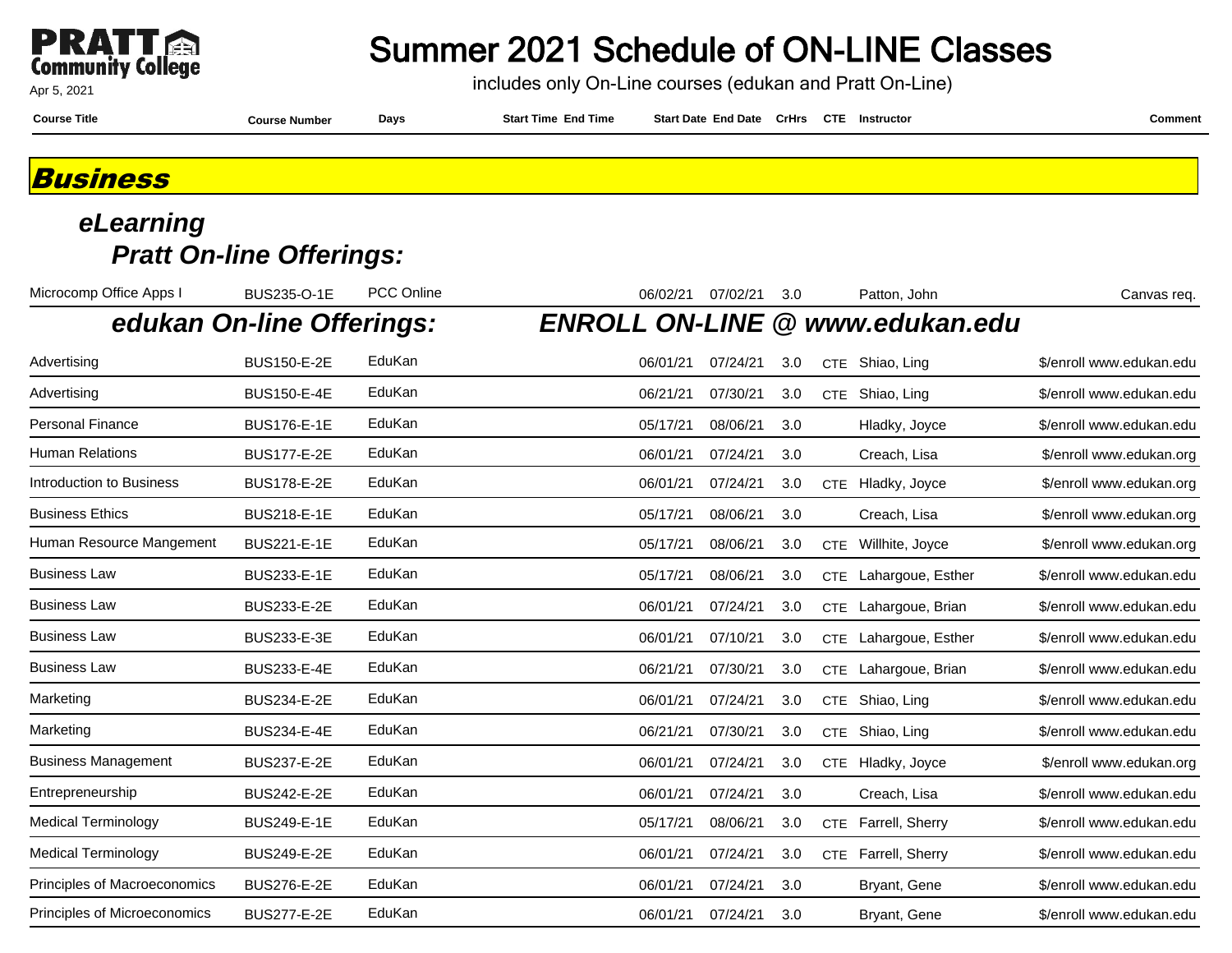

includes only On-Line courses (edukan and Pratt On-Line)

| <b>Course Title</b> | : Number<br>Cours | <b>Days</b> | Start Time<br>Time<br>End | <b>End Date</b><br><b>Start Date</b> | CrHrs | <b>CTE</b> | Instructor | Comment |
|---------------------|-------------------|-------------|---------------------------|--------------------------------------|-------|------------|------------|---------|
|                     |                   |             |                           |                                      |       |            |            |         |

**Business**

| Microcomp Office Apps I      | BUS235-O-1E               | PCC Online | 06/02/21 | 07/02/21 | 3.0 |            | Patton, John                           | Canvas req.              |
|------------------------------|---------------------------|------------|----------|----------|-----|------------|----------------------------------------|--------------------------|
|                              | edukan On-line Offerings: |            |          |          |     |            | <b>ENROLL ON-LINE @ www.edukan.edu</b> |                          |
| Advertising                  | <b>BUS150-E-2E</b>        | EduKan     | 06/01/21 | 07/24/21 | 3.0 |            | CTE Shiao, Ling                        | \$/enroll www.edukan.edu |
| Advertising                  | <b>BUS150-E-4E</b>        | EduKan     | 06/21/21 | 07/30/21 | 3.0 | <b>CTE</b> | Shiao, Ling                            | \$/enroll www.edukan.edu |
| <b>Personal Finance</b>      | <b>BUS176-E-1E</b>        | EduKan     | 05/17/21 | 08/06/21 | 3.0 |            | Hladky, Joyce                          | \$/enroll www.edukan.edu |
| <b>Human Relations</b>       | <b>BUS177-E-2E</b>        | EduKan     | 06/01/21 | 07/24/21 | 3.0 |            | Creach, Lisa                           | \$/enroll www.edukan.org |
| Introduction to Business     | <b>BUS178-E-2E</b>        | EduKan     | 06/01/21 | 07/24/21 | 3.0 | <b>CTE</b> | Hladky, Joyce                          | \$/enroll www.edukan.org |
| <b>Business Ethics</b>       | <b>BUS218-E-1E</b>        | EduKan     | 05/17/21 | 08/06/21 | 3.0 |            | Creach, Lisa                           | \$/enroll www.edukan.org |
| Human Resource Mangement     | BUS221-E-1E               | EduKan     | 05/17/21 | 08/06/21 | 3.0 | <b>CTE</b> | Willhite, Joyce                        | \$/enroll www.edukan.org |
| <b>Business Law</b>          | BUS233-E-1E               | EduKan     | 05/17/21 | 08/06/21 | 3.0 | <b>CTE</b> | Lahargoue, Esther                      | \$/enroll www.edukan.edu |
| <b>Business Law</b>          | BUS233-E-2E               | EduKan     | 06/01/21 | 07/24/21 | 3.0 |            | CTE Lahargoue, Brian                   | \$/enroll www.edukan.edu |
| <b>Business Law</b>          | BUS233-E-3E               | EduKan     | 06/01/21 | 07/10/21 | 3.0 |            | CTE Lahargoue, Esther                  | \$/enroll www.edukan.edu |
| <b>Business Law</b>          | <b>BUS233-E-4E</b>        | EduKan     | 06/21/21 | 07/30/21 | 3.0 |            | CTE Lahargoue, Brian                   | \$/enroll www.edukan.edu |
| Marketing                    | <b>BUS234-E-2E</b>        | EduKan     | 06/01/21 | 07/24/21 | 3.0 | <b>CTE</b> | Shiao, Ling                            | \$/enroll www.edukan.edu |
| Marketing                    | <b>BUS234-E-4E</b>        | EduKan     | 06/21/21 | 07/30/21 | 3.0 |            | CTE Shiao, Ling                        | \$/enroll www.edukan.edu |
| <b>Business Management</b>   | <b>BUS237-E-2E</b>        | EduKan     | 06/01/21 | 07/24/21 | 3.0 |            | CTE Hladky, Joyce                      | \$/enroll www.edukan.org |
| Entrepreneurship             | <b>BUS242-E-2E</b>        | EduKan     | 06/01/21 | 07/24/21 | 3.0 |            | Creach, Lisa                           | \$/enroll www.edukan.edu |
| <b>Medical Terminology</b>   | <b>BUS249-E-1E</b>        | EduKan     | 05/17/21 | 08/06/21 | 3.0 |            | CTE Farrell, Sherry                    | \$/enroll www.edukan.edu |
| <b>Medical Terminology</b>   | <b>BUS249-E-2E</b>        | EduKan     | 06/01/21 | 07/24/21 | 3.0 |            | CTE Farrell, Sherry                    | \$/enroll www.edukan.edu |
| Principles of Macroeconomics | <b>BUS276-E-2E</b>        | EduKan     | 06/01/21 | 07/24/21 | 3.0 |            | Bryant, Gene                           | \$/enroll www.edukan.edu |
| Principles of Microeconomics | <b>BUS277-E-2E</b>        | EduKan     | 06/01/21 | 07/24/21 | 3.0 |            | Bryant, Gene                           | \$/enroll www.edukan.edu |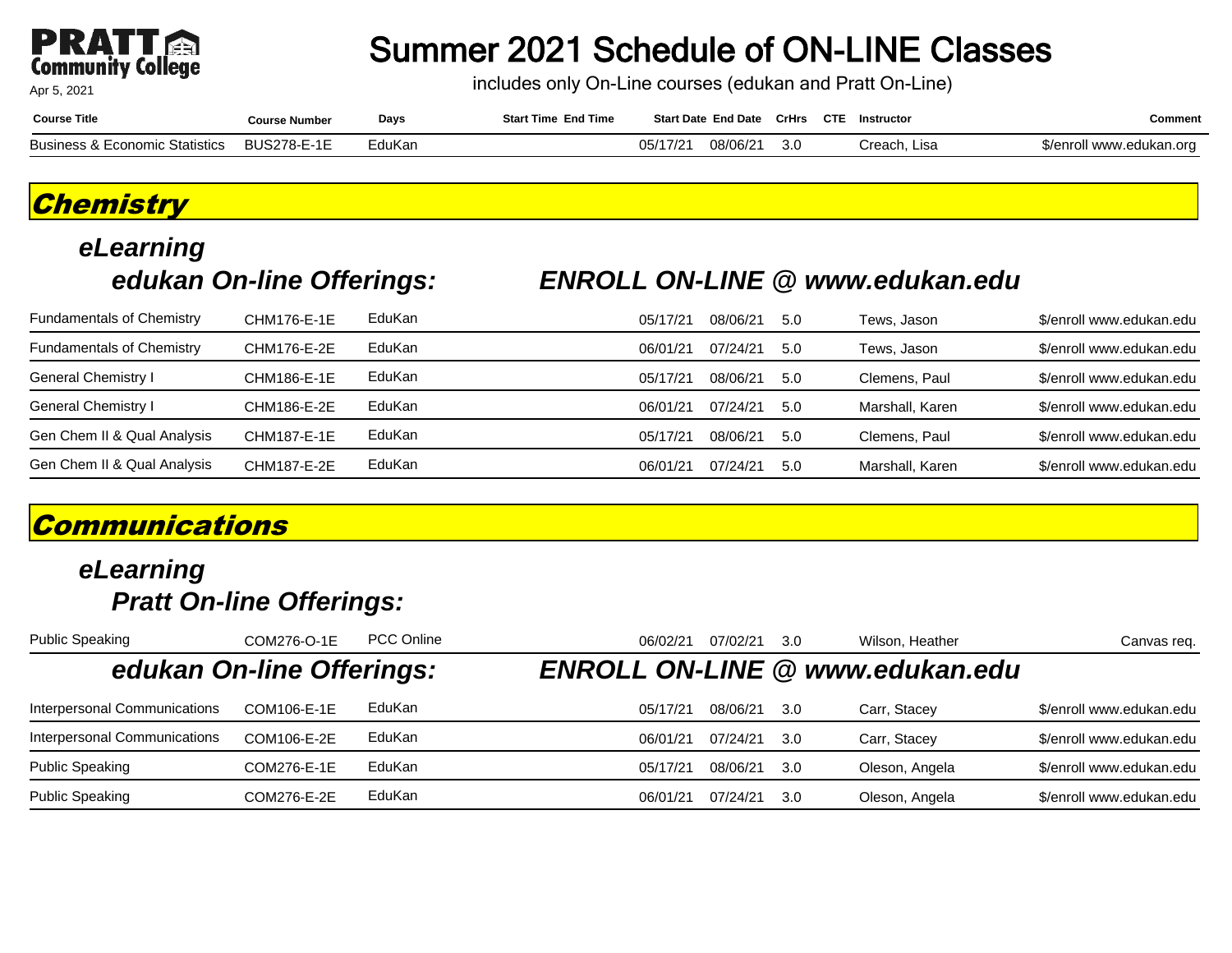

includes only On-Line courses (edukan and Pratt On-Line)

| <b>Course Title</b>                | <b>Course Number</b> | Days   | <b>End Time</b><br>Start Time | <b>Start Date End Date</b> | CrHrs | CTE<br>Instructor | Comment                      |
|------------------------------------|----------------------|--------|-------------------------------|----------------------------|-------|-------------------|------------------------------|
| Statistics<br>Business<br>Economic | <b>BUS278-E-1E</b>   | EduKan | 15/17/21                      | 08/06/2                    | 3.C   | Creach,<br>Lisa   | "S/enrol<br>I www.edukan.org |

### **Chemistry**

# **eLearning**

### **edukan On-line Offerings: ENROLL ON-LINE @ www.edukan.edu**

| <b>Fundamentals of Chemistry</b> | CHM176-E-1E | EduKan | 05/17/21 | 08/06/21 | -5.0 | Tews, Jason     | \$/enroll www.edukan.edu |
|----------------------------------|-------------|--------|----------|----------|------|-----------------|--------------------------|
| <b>Fundamentals of Chemistry</b> | CHM176-E-2E | EduKan | 06/01/21 | 07/24/21 | 5.0  | Tews. Jason     | \$/enroll www.edukan.edu |
| General Chemistry I              | CHM186-E-1E | EduKan | 05/17/21 | 08/06/21 | 5.0  | Clemens, Paul   | \$/enroll www.edukan.edu |
| General Chemistry I              | CHM186-E-2E | EduKan | 06/01/21 | 07/24/21 | 5.0  | Marshall, Karen | \$/enroll www.edukan.edu |
| Gen Chem II & Qual Analysis      | CHM187-E-1E | EduKan | 05/17/21 | 08/06/21 | 5.0  | Clemens, Paul   | \$/enroll www.edukan.edu |
| Gen Chem II & Qual Analysis      | CHM187-E-2E | EduKan | 06/01/21 | 07/24/21 | .5.0 | Marshall, Karen | \$/enroll www.edukan.edu |

### **Communications**

#### **eLearning Pratt On-line Offerings:**

| <b>Public Speaking</b>              | COM276-O-1E | <b>PCC Online</b> | Wilson, Heather<br>07/02/21<br>06/02/21<br>3.0 | Canvas req.              |
|-------------------------------------|-------------|-------------------|------------------------------------------------|--------------------------|
| edukan On-line Offerings:           |             |                   | <b>ENROLL ON-LINE @ www.edukan.edu</b>         |                          |
| <b>Interpersonal Communications</b> | COM106-E-1E | EduKan            | 08/06/21<br>Carr, Stacey<br>05/17/21<br>3.0    | \$/enroll www.edukan.edu |
| Interpersonal Communications        | COM106-E-2E | EduKan            | 07/24/21<br>Carr, Stacey<br>06/01/21<br>-3.0   | \$/enroll www.edukan.edu |
| <b>Public Speaking</b>              | COM276-E-1E | EduKan            | Oleson, Angela<br>08/06/21<br>05/17/21<br>-3.0 | \$/enroll www.edukan.edu |
| <b>Public Speaking</b>              | COM276-E-2E | EduKan            | 07/24/21<br>Oleson, Angela<br>06/01/21<br>3.0  | \$/enroll www.edukan.edu |

Apr 5, 2021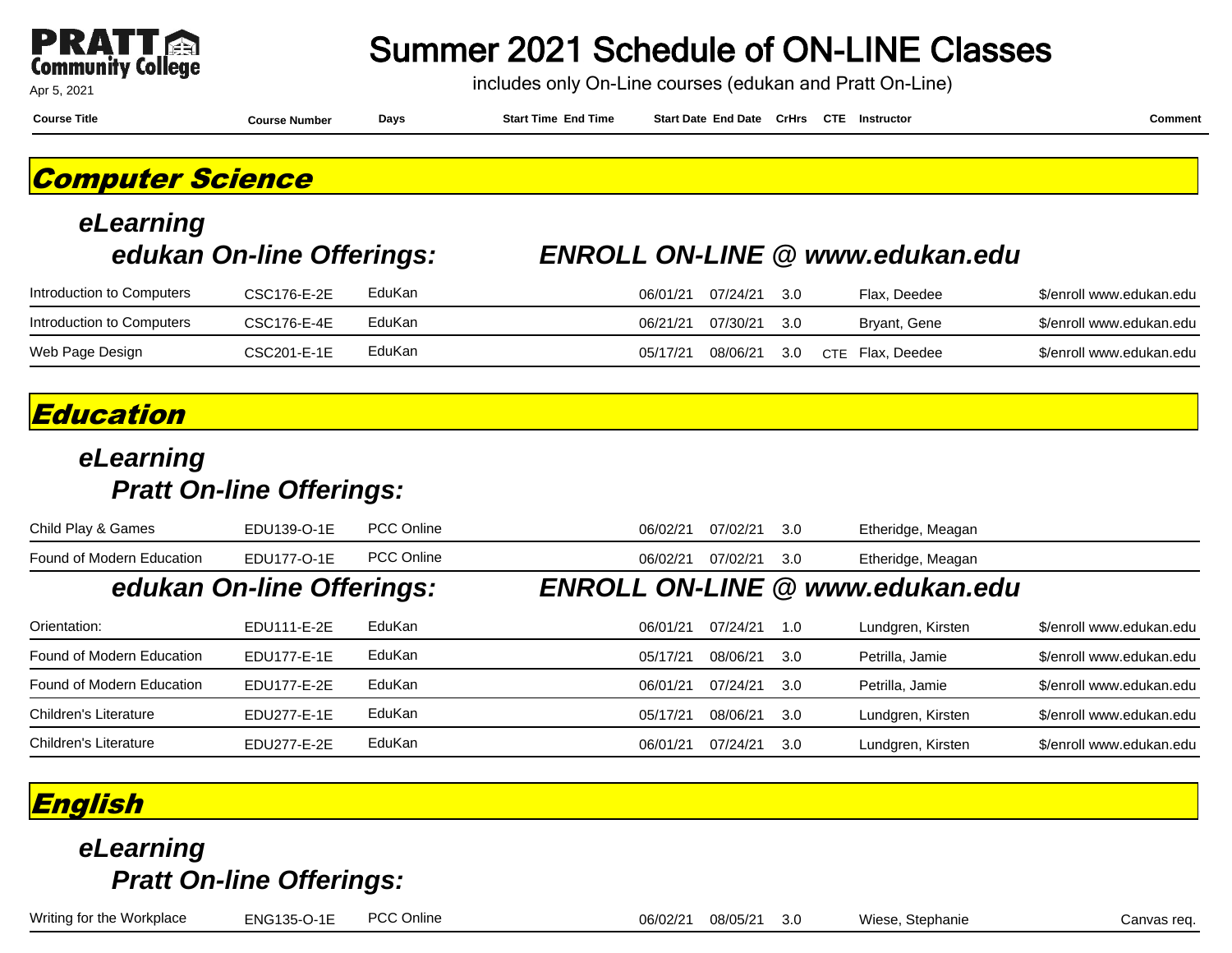

includes only On-Line courses (edukan and Pratt On-Line)

**Course Title Course Number Days Start Time End Time Start Date End Date CrHrs Instructor Comment CTE**

**Computer Science**

**eLearning**

## **edukan On-line Offerings: ENROLL ON-LINE @ www.edukan.edu**

| Introduction to Computers | CSC176-E-2E | EduKan | 06/01/21 | 07/24/21 | - 30 | Flax. Deedee     | \$/enroll www.edukan.edu |
|---------------------------|-------------|--------|----------|----------|------|------------------|--------------------------|
| Introduction to Computers | CSC176-E-4E | EduKan | 06/21/21 | 07/30/21 | - 30 | Bryant, Gene     | \$/enroll www.edukan.edu |
| Web Page Design           | CSC201-E-1E | EduKan | 05/17/21 | 08/06/21 | 3.0  | CTE Flax. Deedee | \$/enroll www.edukan.edu |

### **Education**

#### **eLearning Pratt On-line Offerings:**

| Child Play & Games        | EDU139-O-1E               | <b>PCC Online</b> | 06/02/21 | 07/02/21 | 3.0 | Etheridge, Meagan                      |                          |
|---------------------------|---------------------------|-------------------|----------|----------|-----|----------------------------------------|--------------------------|
| Found of Modern Education | EDU177-O-1E               | <b>PCC Online</b> | 06/02/21 | 07/02/21 | 3.0 | Etheridge, Meagan                      |                          |
|                           | edukan On-line Offerings: |                   |          |          |     | <b>ENROLL ON-LINE @ www.edukan.edu</b> |                          |
| Orientation:              | EDU111-E-2E               | EduKan            | 06/01/21 | 07/24/21 | 1.0 | Lundgren, Kirsten                      | \$/enroll www.edukan.edu |
| Found of Modern Education | EDU177-E-1E               | EduKan            | 05/17/21 | 08/06/21 | 3.0 | Petrilla, Jamie                        | \$/enroll www.edukan.edu |
| Found of Modern Education | EDU177-E-2E               | EduKan            | 06/01/21 | 07/24/21 | 3.0 | Petrilla, Jamie                        | \$/enroll www.edukan.edu |
| Children's Literature     | EDU277-E-1E               | EduKan            | 05/17/21 | 08/06/21 | 3.0 | Lundgren, Kirsten                      | \$/enroll www.edukan.edu |
| Children's Literature     | EDU277-E-2E               | EduKan            | 06/01/21 | 07/24/21 | 3.0 | Lundgren, Kirsten                      | \$/enroll www.edukan.edu |

### **English**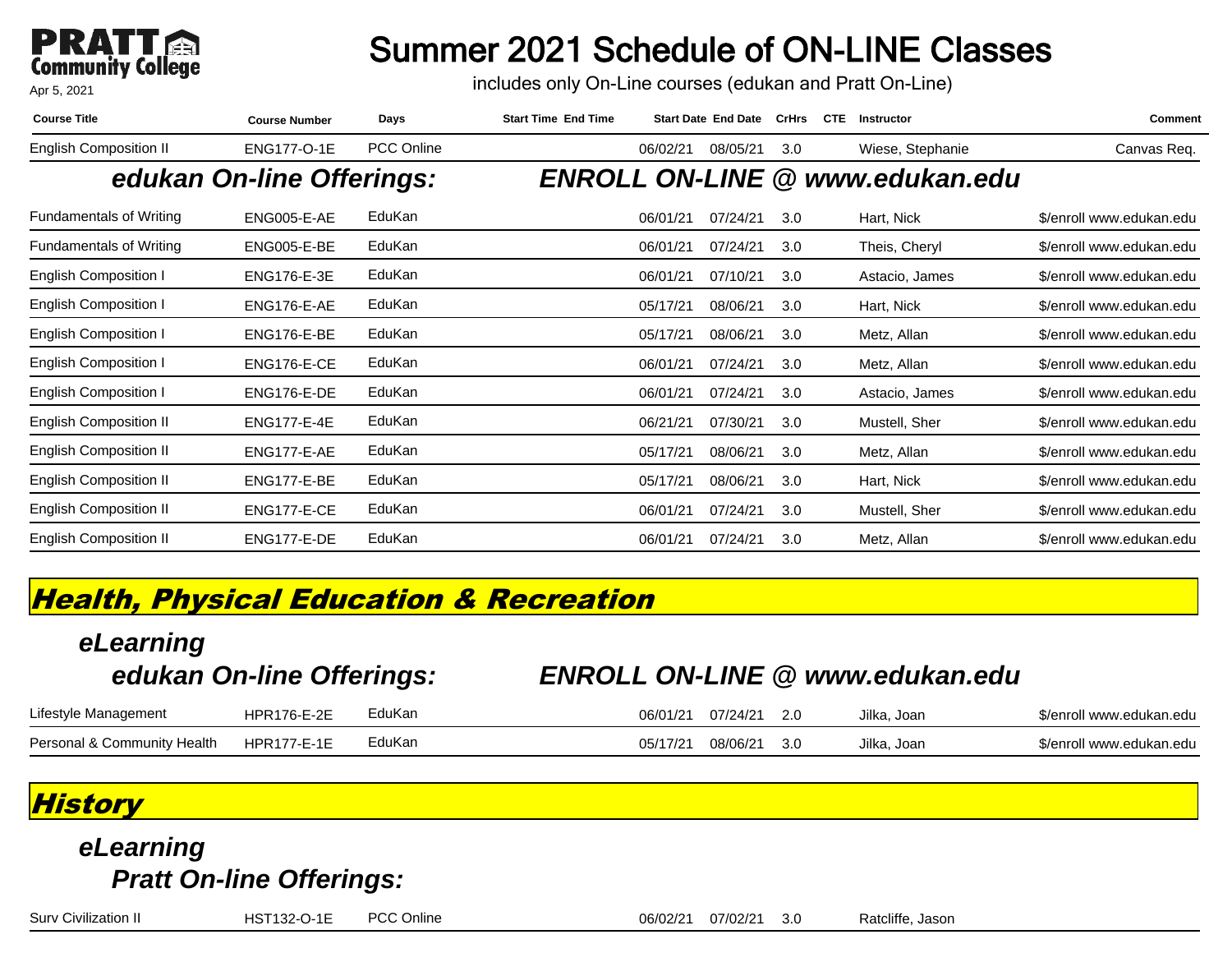#### **PRA1** lea **Community College**

Apr 5, 2021

### Summer 2021 Schedule of ON-LINE Classes

includes only On-Line courses (edukan and Pratt On-Line)

| Wiese, Stephanie<br>Canvas Req.<br><b>ENROLL ON-LINE @ www.edukan.edu</b><br>\$/enroll www.edukan.edu<br>Hart, Nick<br>Theis, Cheryl<br>\$/enroll www.edukan.edu |
|------------------------------------------------------------------------------------------------------------------------------------------------------------------|
|                                                                                                                                                                  |
|                                                                                                                                                                  |
|                                                                                                                                                                  |
|                                                                                                                                                                  |
| Astacio, James<br>\$/enroll www.edukan.edu                                                                                                                       |
| Hart, Nick<br>\$/enroll www.edukan.edu                                                                                                                           |
| Metz, Allan<br>\$/enroll www.edukan.edu                                                                                                                          |
| \$/enroll www.edukan.edu<br>Metz, Allan                                                                                                                          |
| \$/enroll www.edukan.edu<br>Astacio, James                                                                                                                       |
| Mustell, Sher<br>\$/enroll www.edukan.edu                                                                                                                        |
| \$/enroll www.edukan.edu<br>Metz, Allan                                                                                                                          |
| \$/enroll www.edukan.edu<br>Hart, Nick                                                                                                                           |
| Mustell, Sher<br>\$/enroll www.edukan.edu                                                                                                                        |
| \$/enroll www.edukan.edu<br>Metz, Allan                                                                                                                          |
|                                                                                                                                                                  |

### **Health, Physical Education & Recreation**

| eLearning<br>edukan On-line Offerings: |                    |        | <b>ENROLL ON-LINE @ www.edukan.edu</b>       |                          |
|----------------------------------------|--------------------|--------|----------------------------------------------|--------------------------|
| Lifestyle Management                   | HPR176-E-2E        | EduKan | 07/24/21<br>Jilka. Joan<br>06/01/21<br>2.0   | \$/enroll www.edukan.edu |
| Personal & Community Health            | <b>HPR177-E-1E</b> | EduKan | 08/06/21<br>Jilka, Joan<br>- 3.0<br>05/17/21 | \$/enroll www.edukan.edu |

### **History**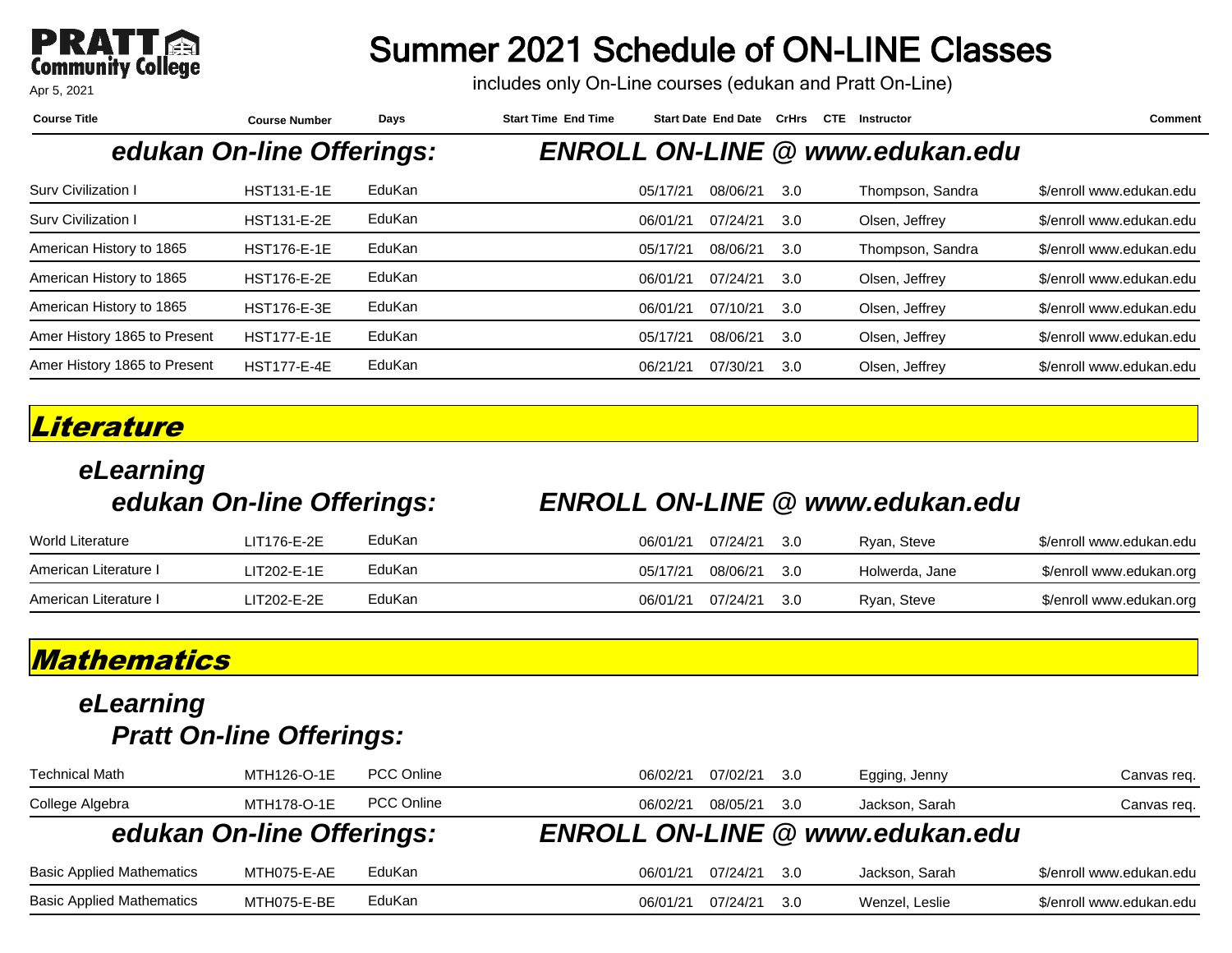

includes only On-Line courses (edukan and Pratt On-Line)

| <b>Course Title</b>          | <b>Course Number</b>      | Days   | <b>Start Time End Time</b> |          | <b>Start Date End Date</b> | <b>CrHrs</b> | <b>CTE</b> | Instructor                             | <b>Comment</b>           |
|------------------------------|---------------------------|--------|----------------------------|----------|----------------------------|--------------|------------|----------------------------------------|--------------------------|
|                              | edukan On-line Offerings: |        |                            |          |                            |              |            | <b>ENROLL ON-LINE @ www.edukan.edu</b> |                          |
| Surv Civilization I          | <b>HST131-E-1E</b>        | EduKan |                            | 05/17/21 | 08/06/21                   | 3.0          |            | Thompson, Sandra                       | \$/enroll www.edukan.edu |
| <b>Sury Civilization I</b>   | <b>HST131-E-2E</b>        | EduKan |                            | 06/01/21 | 07/24/21                   | 3.0          |            | Olsen, Jeffrey                         | \$/enroll www.edukan.edu |
| American History to 1865     | <b>HST176-E-1E</b>        | EduKan |                            | 05/17/21 | 08/06/21                   | 3.0          |            | Thompson, Sandra                       | \$/enroll www.edukan.edu |
| American History to 1865     | <b>HST176-E-2E</b>        | EduKan |                            | 06/01/21 | 07/24/21                   | 3.0          |            | Olsen, Jeffrey                         | \$/enroll www.edukan.edu |
| American History to 1865     | <b>HST176-E-3E</b>        | EduKan |                            | 06/01/21 | 07/10/21                   | 3.0          |            | Olsen, Jeffrey                         | \$/enroll www.edukan.edu |
| Amer History 1865 to Present | <b>HST177-E-1E</b>        | EduKan |                            | 05/17/21 | 08/06/21                   | 3.0          |            | Olsen, Jeffrey                         | \$/enroll www.edukan.edu |
| Amer History 1865 to Present | <b>HST177-E-4E</b>        | EduKan |                            | 06/21/21 | 07/30/21                   | 3.0          |            | Olsen, Jeffrey                         | \$/enroll www.edukan.edu |

### **Literature**

## **eLearning**

#### **edukan On-line Offerings: ENROLL ON-LINE @ www.edukan.edu**

| <b>World Literature</b> | LIT176-E-2E | EduKan | 06/01/21 | 07/24/21 | - 30 | Ryan, Steve    | \$/enroll www.edukan.edu |
|-------------------------|-------------|--------|----------|----------|------|----------------|--------------------------|
| American Literature I   | LIT202-E-1E | EduKan | 05/17/21 | 08/06/21 | 30   | Holwerda, Jane | \$/enroll www.edukan.org |
| American Literature I   | LIT202-E-2E | EduKan | 06/01/21 | 07/24/21 | - 30 | Ryan, Steve    | \$/enroll www.edukan.org |

### **Mathematics**

| <b>Technical Math</b>            | MTH126-O-1E               | <b>PCC Online</b> | 07/02/21<br>06/02/21<br>Egging, Jenny<br>.3.O  | Canvas req.              |
|----------------------------------|---------------------------|-------------------|------------------------------------------------|--------------------------|
| College Algebra                  | MTH178-O-1E               | <b>PCC Online</b> | 08/05/21<br>06/02/21<br>Jackson, Sarah<br>3.0  | Canvas req.              |
|                                  | edukan On-line Offerings: |                   | <b>ENROLL ON-LINE @ www.edukan.edu</b>         |                          |
| <b>Basic Applied Mathematics</b> | MTH075-E-AE               | EduKan            | 07/24/21<br>Jackson, Sarah<br>06/01/21<br>-3.0 | \$/enroll www.edukan.edu |
| <b>Basic Applied Mathematics</b> | MTH075-E-BE               | EduKan            | 07/24/21<br>Wenzel, Leslie<br>06/01/21<br>-3.0 | \$/enroll www.edukan.edu |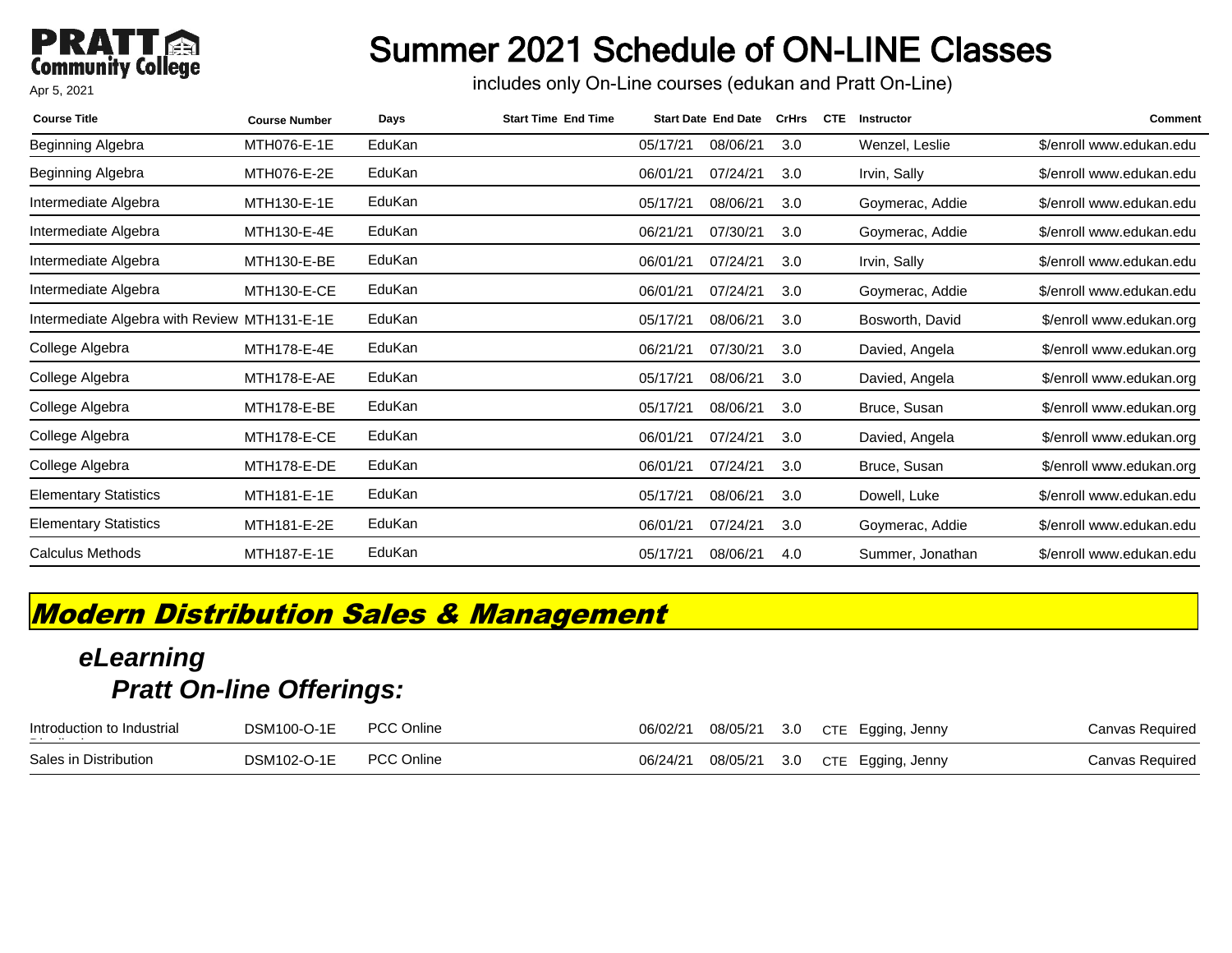#### **PRAT** Ta **Community College** Apr 5, 2021

## Summer 2021 Schedule of ON-LINE Classes

includes only On-Line courses (edukan and Pratt On-Line)

| <b>Course Title</b>                          | <b>Course Number</b> | Days   | <b>Start Time End Time</b> |          | <b>Start Date End Date</b> | <b>CrHrs</b> | <b>CTE</b> | Instructor       | <b>Comment</b>           |
|----------------------------------------------|----------------------|--------|----------------------------|----------|----------------------------|--------------|------------|------------------|--------------------------|
| Beginning Algebra                            | MTH076-E-1E          | EduKan |                            | 05/17/21 | 08/06/21                   | 3.0          |            | Wenzel, Leslie   | \$/enroll www.edukan.edu |
| Beginning Algebra                            | MTH076-E-2E          | EduKan |                            | 06/01/21 | 07/24/21                   | 3.0          |            | Irvin, Sally     | \$/enroll www.edukan.edu |
| Intermediate Algebra                         | MTH130-E-1E          | EduKan |                            | 05/17/21 | 08/06/21                   | 3.0          |            | Goymerac, Addie  | \$/enroll www.edukan.edu |
| Intermediate Algebra                         | MTH130-E-4E          | EduKan |                            | 06/21/21 | 07/30/21                   | 3.0          |            | Goymerac, Addie  | \$/enroll www.edukan.edu |
| Intermediate Algebra                         | MTH130-E-BE          | EduKan |                            | 06/01/21 | 07/24/21                   | 3.0          |            | Irvin, Sally     | \$/enroll www.edukan.edu |
| Intermediate Algebra                         | <b>MTH130-E-CE</b>   | EduKan |                            | 06/01/21 | 07/24/21                   | 3.0          |            | Goymerac, Addie  | \$/enroll www.edukan.edu |
| Intermediate Algebra with Review MTH131-E-1E |                      | EduKan |                            | 05/17/21 | 08/06/21                   | 3.0          |            | Bosworth, David  | \$/enroll www.edukan.org |
| College Algebra                              | MTH178-E-4E          | EduKan |                            | 06/21/21 | 07/30/21                   | 3.0          |            | Davied, Angela   | \$/enroll www.edukan.org |
| College Algebra                              | MTH178-E-AE          | EduKan |                            | 05/17/21 | 08/06/21                   | 3.0          |            | Davied, Angela   | \$/enroll www.edukan.org |
| College Algebra                              | MTH178-E-BE          | EduKan |                            | 05/17/21 | 08/06/21                   | 3.0          |            | Bruce, Susan     | \$/enroll www.edukan.org |
| College Algebra                              | MTH178-E-CE          | EduKan |                            | 06/01/21 | 07/24/21                   | 3.0          |            | Davied, Angela   | \$/enroll www.edukan.org |
| College Algebra                              | MTH178-E-DE          | EduKan |                            | 06/01/21 | 07/24/21                   | 3.0          |            | Bruce, Susan     | \$/enroll www.edukan.org |
| <b>Elementary Statistics</b>                 | MTH181-E-1E          | EduKan |                            | 05/17/21 | 08/06/21                   | 3.0          |            | Dowell, Luke     | \$/enroll www.edukan.edu |
| <b>Elementary Statistics</b>                 | MTH181-E-2E          | EduKan |                            | 06/01/21 | 07/24/21                   | 3.0          |            | Goymerac, Addie  | \$/enroll www.edukan.edu |
| <b>Calculus Methods</b>                      | MTH187-E-1E          | EduKan |                            | 05/17/21 | 08/06/21                   | 4.0          |            | Summer, Jonathan | \$/enroll www.edukan.edu |

### **Modern Distribution Sales & Management**

| Introduction to Industrial<br>$     -$ | DSM100-O-1E | <b>PCC Online</b> | 06/02/21 | 08/05/21 | 3.0 CTE Egging, Jenny | Canvas Required |
|----------------------------------------|-------------|-------------------|----------|----------|-----------------------|-----------------|
| Sales in Distribution                  | DSM102-O-1E | <b>PCC Online</b> | 06/24/21 | 08/05/21 | 3.0 CTE Egging, Jenny | Canvas Required |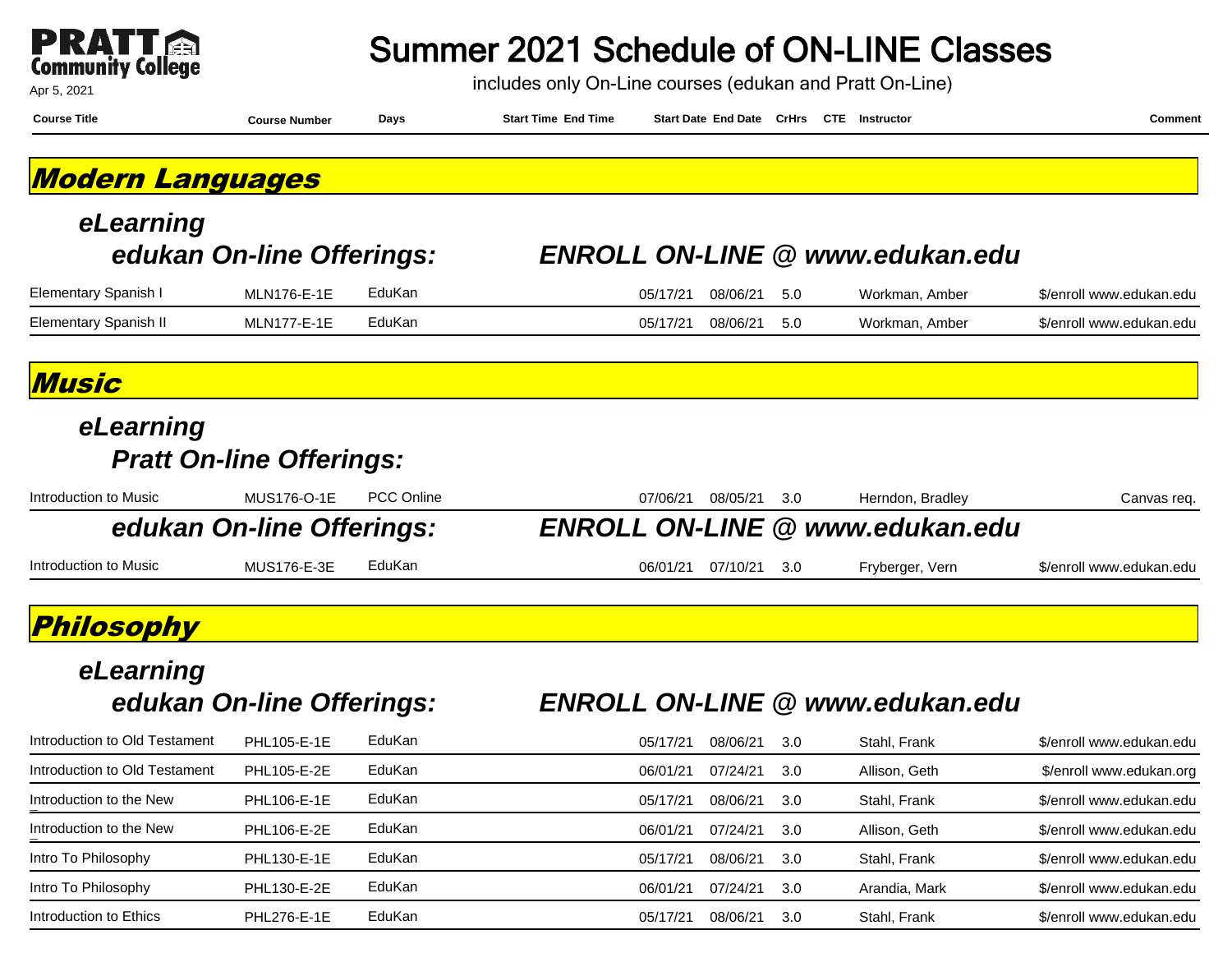

includes only On-Line courses (edukan and Pratt On-Line)

| <b>Course Title</b>           | <b>Course Number</b>            | Days              | <b>Start Time End Time</b> | Start Date End Date CrHrs CTE Instructor |     |                                        | <b>Comment</b>           |
|-------------------------------|---------------------------------|-------------------|----------------------------|------------------------------------------|-----|----------------------------------------|--------------------------|
| <b>Modern Languages</b>       |                                 |                   |                            |                                          |     |                                        |                          |
| eLearning                     |                                 |                   |                            |                                          |     |                                        |                          |
|                               | edukan On-line Offerings:       |                   |                            |                                          |     | <b>ENROLL ON-LINE @ www.edukan.edu</b> |                          |
| <b>Elementary Spanish I</b>   | <b>MLN176-E-1E</b>              | EduKan            |                            | 05/17/21<br>08/06/21                     | 5.0 | Workman, Amber                         | \$/enroll www.edukan.edu |
| <b>Elementary Spanish II</b>  | <b>MLN177-E-1E</b>              | EduKan            |                            | 08/06/21<br>05/17/21                     | 5.0 | Workman, Amber                         | \$/enroll www.edukan.edu |
| Music                         |                                 |                   |                            |                                          |     |                                        |                          |
| eLearning                     |                                 |                   |                            |                                          |     |                                        |                          |
|                               | <b>Pratt On-line Offerings:</b> |                   |                            |                                          |     |                                        |                          |
| Introduction to Music         | <b>MUS176-O-1E</b>              | <b>PCC Online</b> |                            | 07/06/21<br>08/05/21                     | 3.0 | Herndon, Bradley                       | Canvas req.              |
|                               | edukan On-line Offerings:       |                   |                            |                                          |     | <b>ENROLL ON-LINE @ www.edukan.edu</b> |                          |
| Introduction to Music         | <b>MUS176-E-3E</b>              | EduKan            |                            | 06/01/21<br>07/10/21                     | 3.0 | Fryberger, Vern                        | \$/enroll www.edukan.edu |
| Philosophy                    |                                 |                   |                            |                                          |     |                                        |                          |
| eLearning                     |                                 |                   |                            |                                          |     |                                        |                          |
|                               | edukan On-line Offerings:       |                   |                            |                                          |     | <b>ENROLL ON-LINE @ www.edukan.edu</b> |                          |
| Introduction to Old Testament | PHL105-E-1E                     | EduKan            |                            | 05/17/21<br>08/06/21                     | 3.0 | Stahl, Frank                           | \$/enroll www.edukan.edu |
| Introduction to Old Testament | PHL105-E-2E                     | EduKan            |                            | 06/01/21<br>07/24/21                     | 3.0 | Allison, Geth                          | \$/enroll www.edukan.org |
| Introduction to the New       | PHL106-E-1E                     | EduKan            |                            | 05/17/21<br>08/06/21                     | 3.0 | Stahl, Frank                           | \$/enroll www.edukan.edu |
| Introduction to the New       | PHL106-E-2E                     | EduKan            |                            | 06/01/21<br>07/24/21                     | 3.0 | Allison, Geth                          | \$/enroll www.edukan.edu |
| Intro To Philosophy           | PHL130-E-1E                     | EduKan            |                            | 05/17/21<br>08/06/21                     | 3.0 | Stahl, Frank                           | \$/enroll www.edukan.edu |
| Intro To Philosophy           | PHL130-E-2E                     | EduKan            |                            | 07/24/21<br>06/01/21                     | 3.0 | Arandia, Mark                          | \$/enroll www.edukan.edu |

Introduction to Ethics **PHL276-E-1E** EduKan **COM** 25/17/21 08/06/21 3.0 Stahl, Frank \$/enroll www.edukan.edu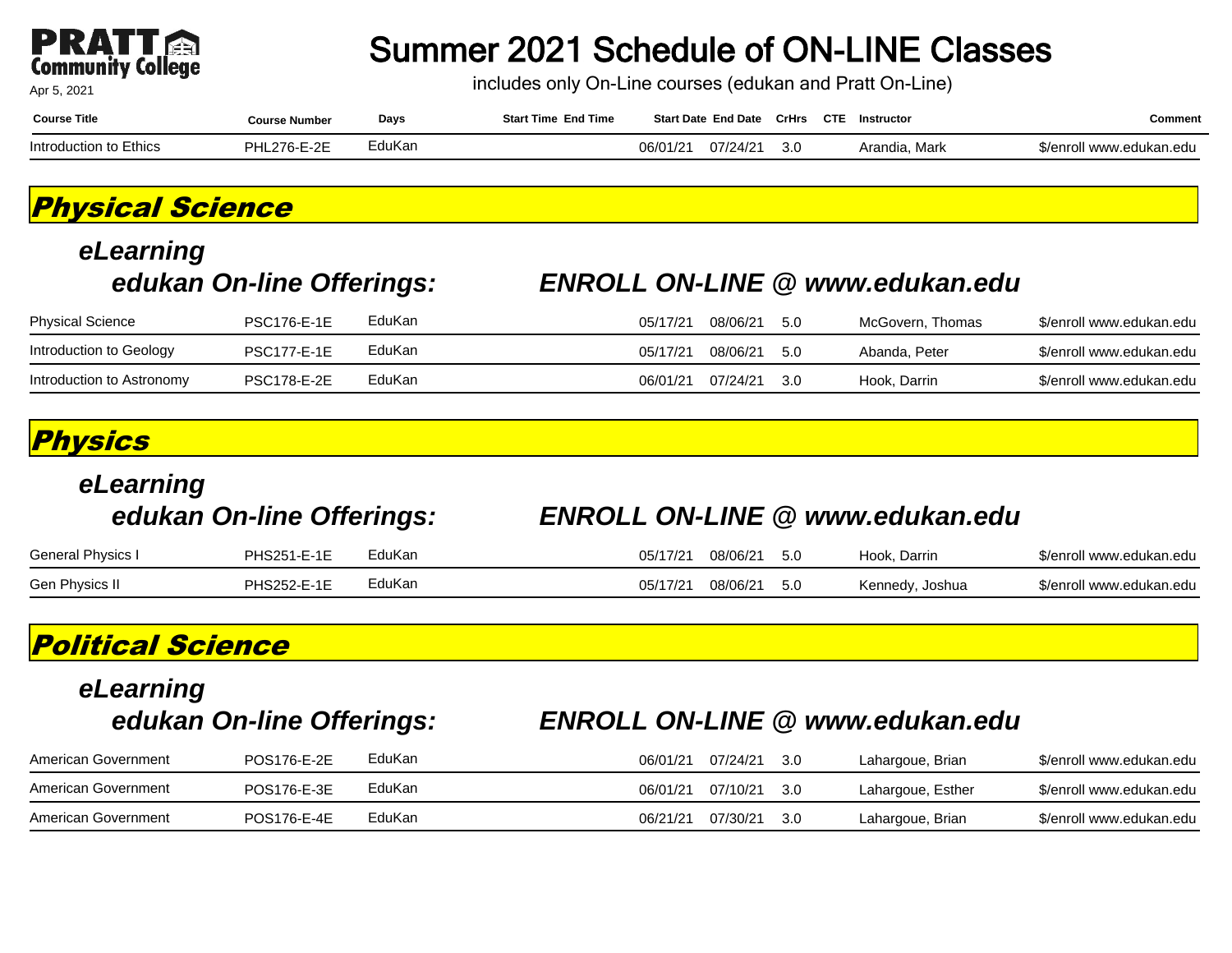

includes only On-Line courses (edukan and Pratt On-Line)

| <b>Course Title</b>    | <b>Course Number.</b> | Days   | <b>Start Time End Time</b> |          | <b>Start Date End Date</b> | <b>CrHrs</b> | <b>CTE</b> | Instructor      | Comment                  |
|------------------------|-----------------------|--------|----------------------------|----------|----------------------------|--------------|------------|-----------------|--------------------------|
| Introduction to Ethics | l 276-F-2F<br>--      | EduKan |                            | 06/01/21 | <u>າ7/24/21</u><br>07      | 3.0          |            | Mark<br>Arandia | \$/enroll www.edukan.edu |

### **Physical Science**

# **eLearning**

### **edukan On-line Offerings: ENROLL ON-LINE @ www.edukan.edu**

| <b>Physical Science</b>   | <b>PSC176-E-1E</b> | EduKan | 05/17/21 | 08/06/21 | -5.0 | McGovern. Thomas | \$/enroll www.edukan.edu |
|---------------------------|--------------------|--------|----------|----------|------|------------------|--------------------------|
| Introduction to Geology   | <b>PSC177-E-1E</b> | EduKan | 05/17/21 | 08/06/21 | -50  | Abanda, Peter    | \$/enroll www.edukan.edu |
| Introduction to Astronomy | <b>PSC178-E-2E</b> | EduKan | 06/01/21 | 07/24/21 |      | Hook. Darrin     | \$/enroll www.edukan.edu |

### **Physics**

| eLearning<br>edukan On-line Offerings: |                    |        |          |          | <b>ENROLL ON-LINE @ www.edukan.edu</b> |                 |                          |
|----------------------------------------|--------------------|--------|----------|----------|----------------------------------------|-----------------|--------------------------|
| General Physics I                      | <b>PHS251-E-1E</b> | EduKan | 05/17/21 | 08/06/21 | -5.0                                   | Hook, Darrin    | \$/enroll www.edukan.edu |
| Gen Physics II                         | <b>PHS252-E-1E</b> | EduKan | 05/17/21 | 08/06/21 | -5.0                                   | Kennedy, Joshua | \$/enroll www.edukan.edu |
|                                        |                    |        |          |          |                                        |                 |                          |

### **Political Science**

## **eLearning**

#### **edukan On-line Offerings: ENROLL ON-LINE @ www.edukan.edu**

| American Government | POS176-E-2E | EduKan | 06/01/21 | 07/24/21 | - 30  | Lahargoue, Brian  | \$/enroll www.edukan.edu |
|---------------------|-------------|--------|----------|----------|-------|-------------------|--------------------------|
| American Government | POS176-E-3E | EduKan | 06/01/21 | 07/10/21 | - 3.0 | Lahargoue, Esther | \$/enroll www.edukan.edu |
| American Government | POS176-E-4E | EduKan | 06/21/21 | 07/30/21 |       | Lahargoue, Brian  | \$/enroll www.edukan.edu |

Apr 5, 2021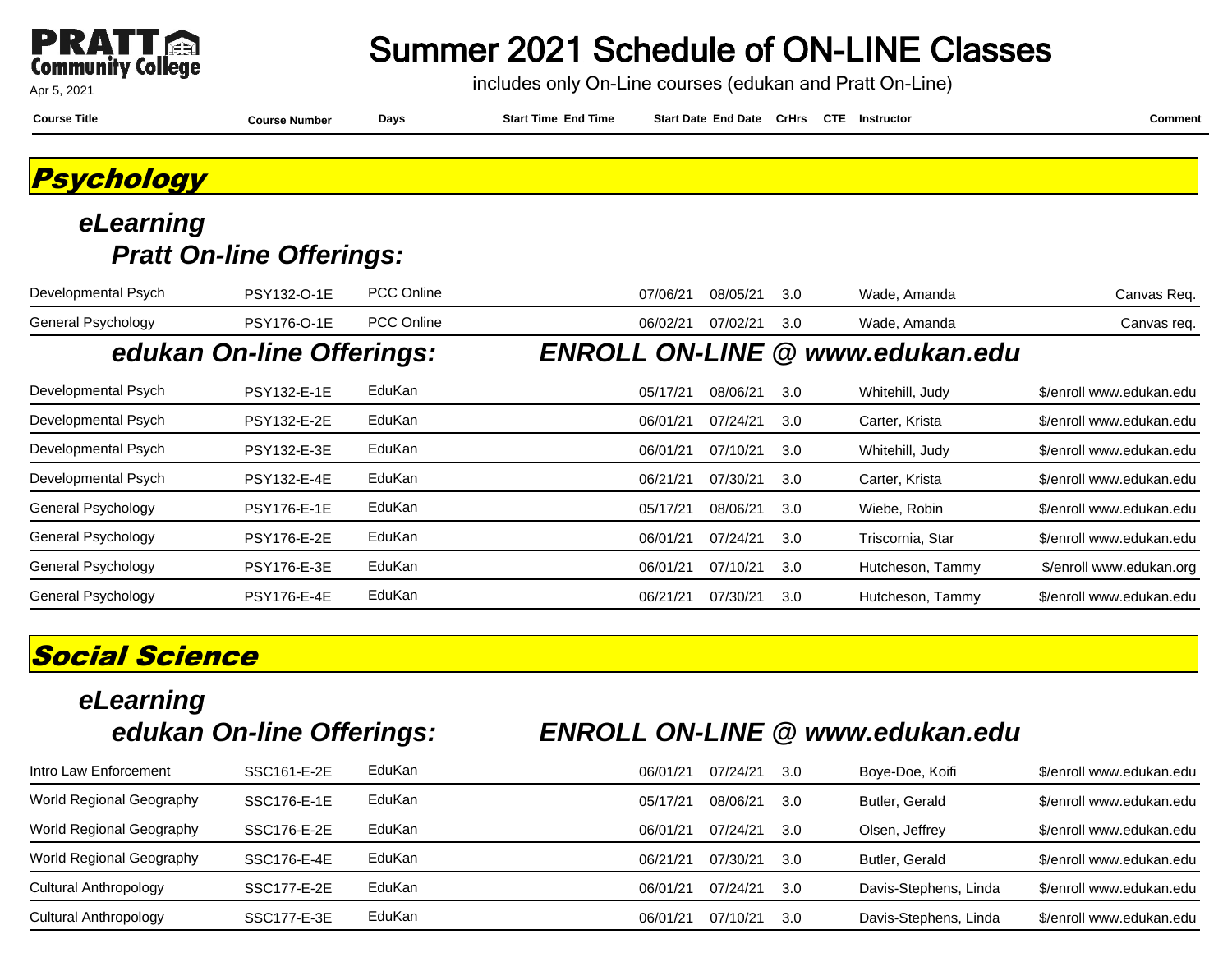

includes only On-Line courses (edukan and Pratt On-Line)

| <b>Course Title</b><br>Cour∶ | <b>Day</b><br>e Number | <b>End Time</b><br>Start<br>Time | <b>Start Date</b><br><b>End Date</b> | CrHrs | <b>CTF</b> | Instructor | ∶omment |
|------------------------------|------------------------|----------------------------------|--------------------------------------|-------|------------|------------|---------|
|                              |                        |                                  |                                      |       |            |            |         |

**Psychology**

#### **eLearning Pratt On-line Offerings:**

| Developmental Psych | PSY132-O-1E               | <b>PCC Online</b> | 07/06/21 | 08/05/21 | 3.0 | Wade, Amanda                           | Canvas Req.              |
|---------------------|---------------------------|-------------------|----------|----------|-----|----------------------------------------|--------------------------|
| General Psychology  | <b>PSY176-O-1E</b>        | <b>PCC Online</b> | 06/02/21 | 07/02/21 | 3.0 | Wade, Amanda                           | Canvas req.              |
|                     | edukan On-line Offerings: |                   |          |          |     | <b>ENROLL ON-LINE @ www.edukan.edu</b> |                          |
| Developmental Psych | <b>PSY132-E-1E</b>        | EduKan            | 05/17/21 | 08/06/21 | 3.0 | Whitehill, Judy                        | \$/enroll www.edukan.edu |
| Developmental Psych | <b>PSY132-E-2E</b>        | EduKan            | 06/01/21 | 07/24/21 | 3.0 | Carter, Krista                         | \$/enroll www.edukan.edu |
| Developmental Psych | <b>PSY132-E-3E</b>        | EduKan            | 06/01/21 | 07/10/21 | 3.0 | Whitehill, Judy                        | \$/enroll www.edukan.edu |
| Developmental Psych | <b>PSY132-E-4E</b>        | EduKan            | 06/21/21 | 07/30/21 | 3.0 | Carter, Krista                         | \$/enroll www.edukan.edu |
| General Psychology  | <b>PSY176-E-1E</b>        | EduKan            | 05/17/21 | 08/06/21 | 3.0 | Wiebe, Robin                           | \$/enroll www.edukan.edu |
| General Psychology  | <b>PSY176-E-2E</b>        | EduKan            | 06/01/21 | 07/24/21 | 3.0 | Triscornia, Star                       | \$/enroll www.edukan.edu |
| General Psychology  | <b>PSY176-E-3E</b>        | EduKan            | 06/01/21 | 07/10/21 | 3.0 | Hutcheson, Tammy                       | \$/enroll www.edukan.org |
| General Psychology  | <b>PSY176-E-4E</b>        | EduKan            | 06/21/21 | 07/30/21 | 3.0 | Hutcheson, Tammy                       | \$/enroll www.edukan.edu |

### **Social Science**

# **eLearning**

#### **edukan On-line Offerings: ENROLL ON-LINE @ www.edukan.edu**

| Intro Law Enforcement    | SSC161-E-2E | EduKan | 06/01/21 | 07/24/21 | 3.0 | Bove-Doe, Koifi       | \$/enroll www.edukan.edu |
|--------------------------|-------------|--------|----------|----------|-----|-----------------------|--------------------------|
| World Regional Geography | SSC176-E-1E | EduKan | 05/17/21 | 08/06/21 | 3.0 | Butler, Gerald        | \$/enroll www.edukan.edu |
| World Regional Geography | SSC176-E-2E | EduKan | 06/01/21 | 07/24/21 | 3.0 | Olsen, Jeffrey        | \$/enroll www.edukan.edu |
| World Regional Geography | SSC176-E-4E | EduKan | 06/21/21 | 07/30/21 | 3.0 | Butler, Gerald        | \$/enroll www.edukan.edu |
| Cultural Anthropology    | SSC177-E-2E | EduKan | 06/01/21 | 07/24/21 | 3.0 | Davis-Stephens, Linda | \$/enroll www.edukan.edu |
| Cultural Anthropology    | SSC177-E-3E | EduKan | 06/01/21 | 07/10/21 | 3.0 | Davis-Stephens, Linda | \$/enroll www.edukan.edu |